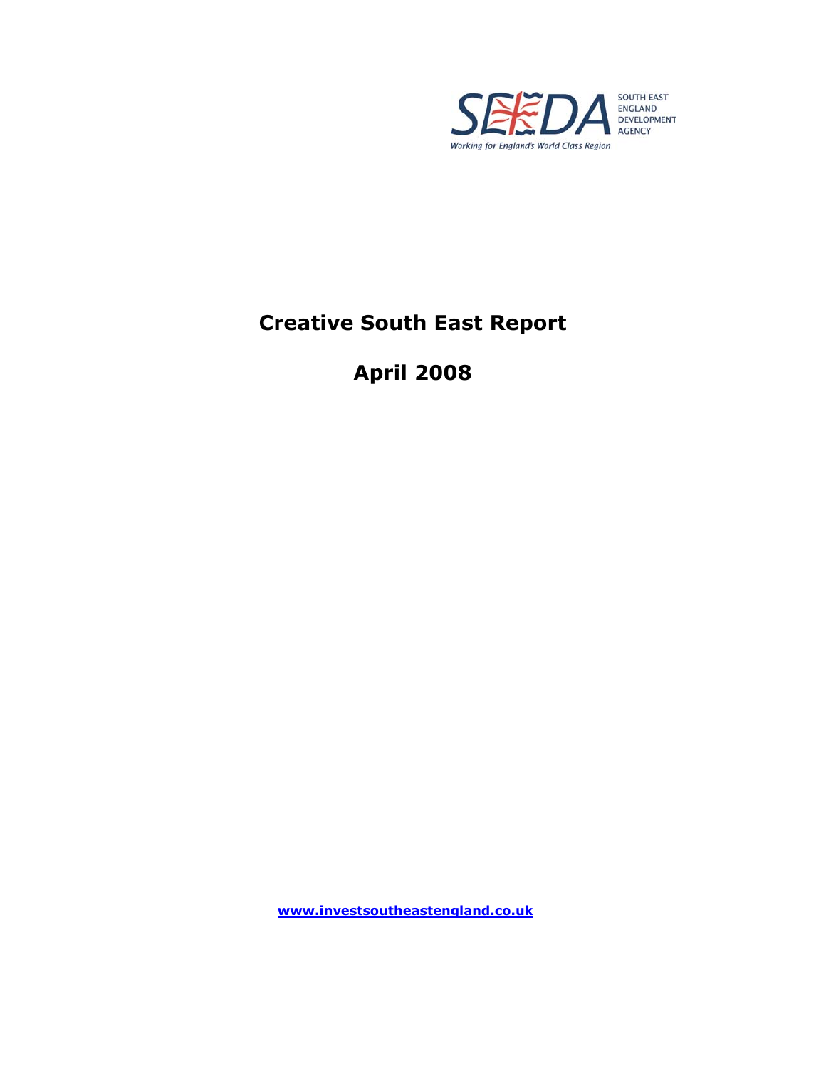

# **Creative South East Report**

# **April 2008**

**www.investsoutheastengland.co.uk**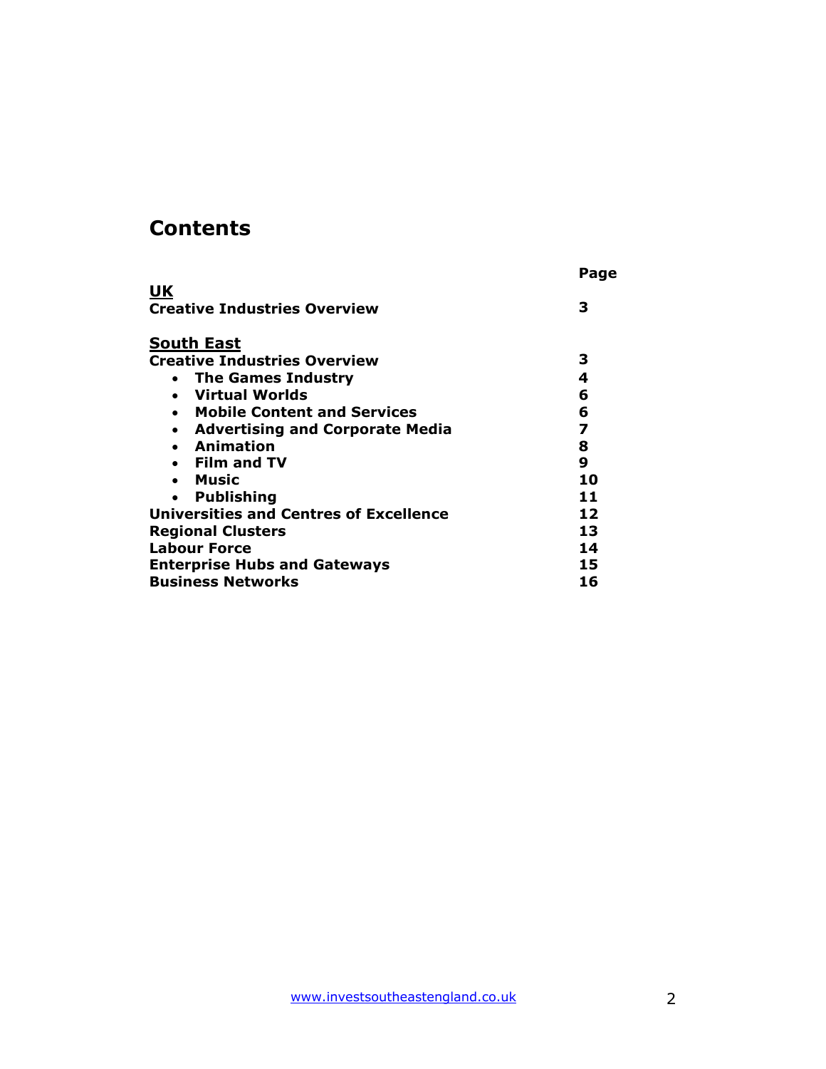# **Contents**

|                                                     | Page |
|-----------------------------------------------------|------|
| <u>UK</u>                                           |      |
| <b>Creative Industries Overview</b>                 | 3    |
| <b>South East</b>                                   |      |
| <b>Creative Industries Overview</b>                 | 3    |
| • The Games Industry                                | 4    |
| • Virtual Worlds                                    | 6    |
| • Mobile Content and Services                       | 6    |
| <b>Advertising and Corporate Media</b><br>$\bullet$ | 7    |
| • Animation                                         | 8    |
| • Film and TV                                       | 9    |
| • Music                                             | 10   |
| <b>Publishing</b><br>$\bullet$                      | 11   |
| <b>Universities and Centres of Excellence</b>       | 12   |
| <b>Regional Clusters</b>                            | 13   |
| <b>Labour Force</b>                                 | 14   |
| <b>Enterprise Hubs and Gateways</b>                 | 15   |
| <b>Business Networks</b>                            | 16   |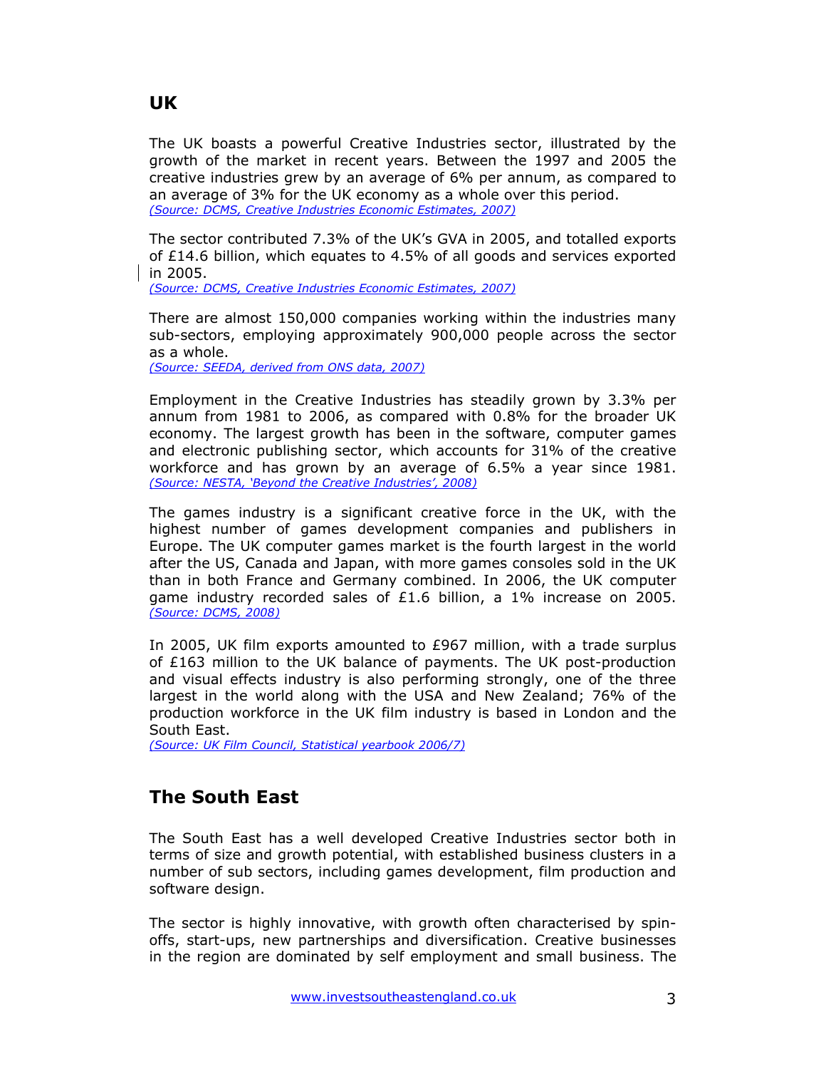### **UK**

The UK boasts a powerful Creative Industries sector, illustrated by the growth of the market in recent years. Between the 1997 and 2005 the creative industries grew by an average of 6% per annum, as compared to an average of 3% for the UK economy as a whole over this period. *(Source: DCMS, Creative Industries Economic Estimates, 2007)*

The sector contributed 7.3% of the UK's GVA in 2005, and totalled exports of £14.6 billion, which equates to 4.5% of all goods and services exported in 2005.

*(Source: DCMS, Creative Industries Economic Estimates, 2007)* 

There are almost 150,000 companies working within the industries many sub-sectors, employing approximately 900,000 people across the sector as a whole.

*(Source: SEEDA, derived from ONS data, 2007)*

Employment in the Creative Industries has steadily grown by 3.3% per annum from 1981 to 2006, as compared with 0.8% for the broader UK economy. The largest growth has been in the software, computer games and electronic publishing sector, which accounts for 31% of the creative workforce and has grown by an average of 6.5% a year since 1981. *(Source: NESTA, 'Beyond the Creative Industries', 2008)*

The games industry is a significant creative force in the UK, with the highest number of games development companies and publishers in Europe. The UK computer games market is the fourth largest in the world after the US, Canada and Japan, with more games consoles sold in the UK than in both France and Germany combined. In 2006, the UK computer game industry recorded sales of £1.6 billion, a 1% increase on 2005. *(Source: DCMS, 2008)*

In 2005, UK film exports amounted to £967 million, with a trade surplus of £163 million to the UK balance of payments. The UK post-production and visual effects industry is also performing strongly, one of the three largest in the world along with the USA and New Zealand; 76% of the production workforce in the UK film industry is based in London and the South East.

*(Source: UK Film Council, Statistical yearbook 2006/7)*

# **The South East**

The South East has a well developed Creative Industries sector both in terms of size and growth potential, with established business clusters in a number of sub sectors, including games development, film production and software design.

The sector is highly innovative, with growth often characterised by spinoffs, start-ups, new partnerships and diversification. Creative businesses in the region are dominated by self employment and small business. The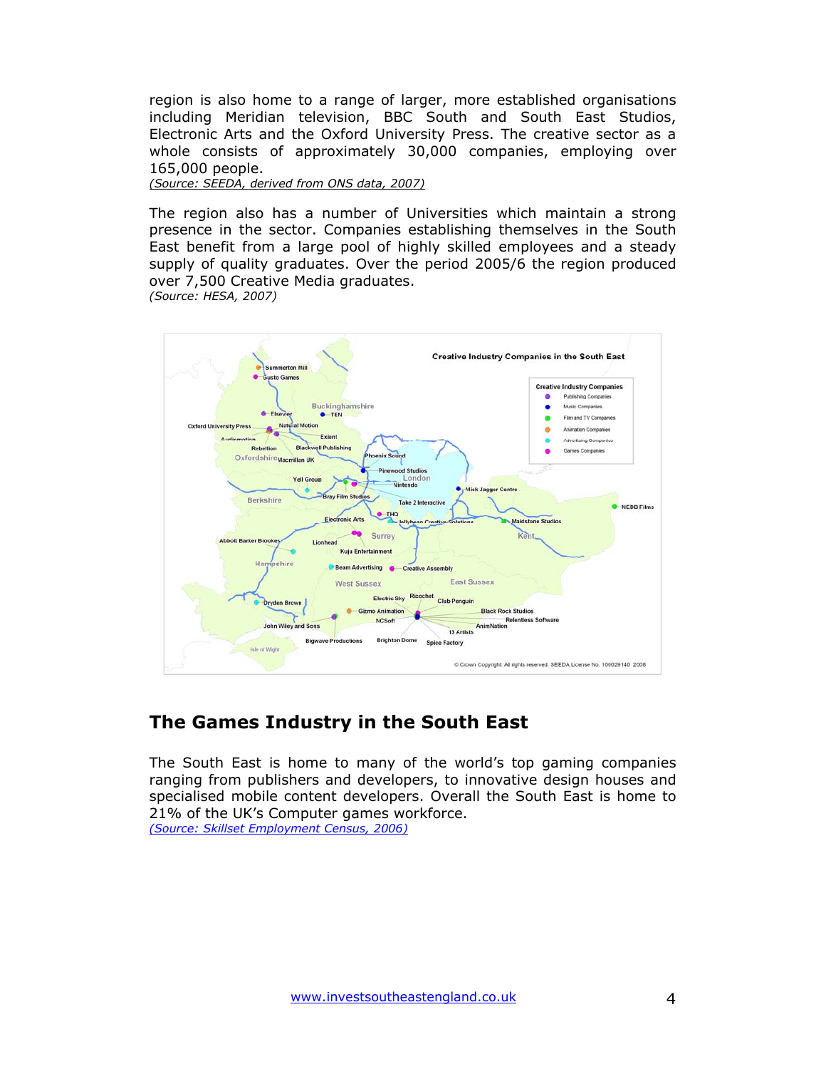region is also home to a range of larger, more established organisations including Meridian television, BBC South and South East Studios, Electronic Arts and the Oxford University Press. The creative sector as a whole consists of approximately 30,000 companies, employing over 165,000 people.

*(Source: SEEDA, derived from ONS data, 2007)*

The region also has a number of Universities which maintain a strong presence in the sector. Companies establishing themselves in the South East benefit from a large pool of highly skilled employees and a steady supply of quality graduates. Over the period 2005/6 the region produced over 7,500 Creative Media graduates. *(Source: HESA, 2007)* 



# **The Games Industry in the South East**

The South East is home to many of the world's top gaming companies ranging from publishers and developers, to innovative design houses and specialised mobile content developers. Overall the South East is home to 21% of the UK's Computer games workforce. *(Source: Skillset Employment Census, 2006)*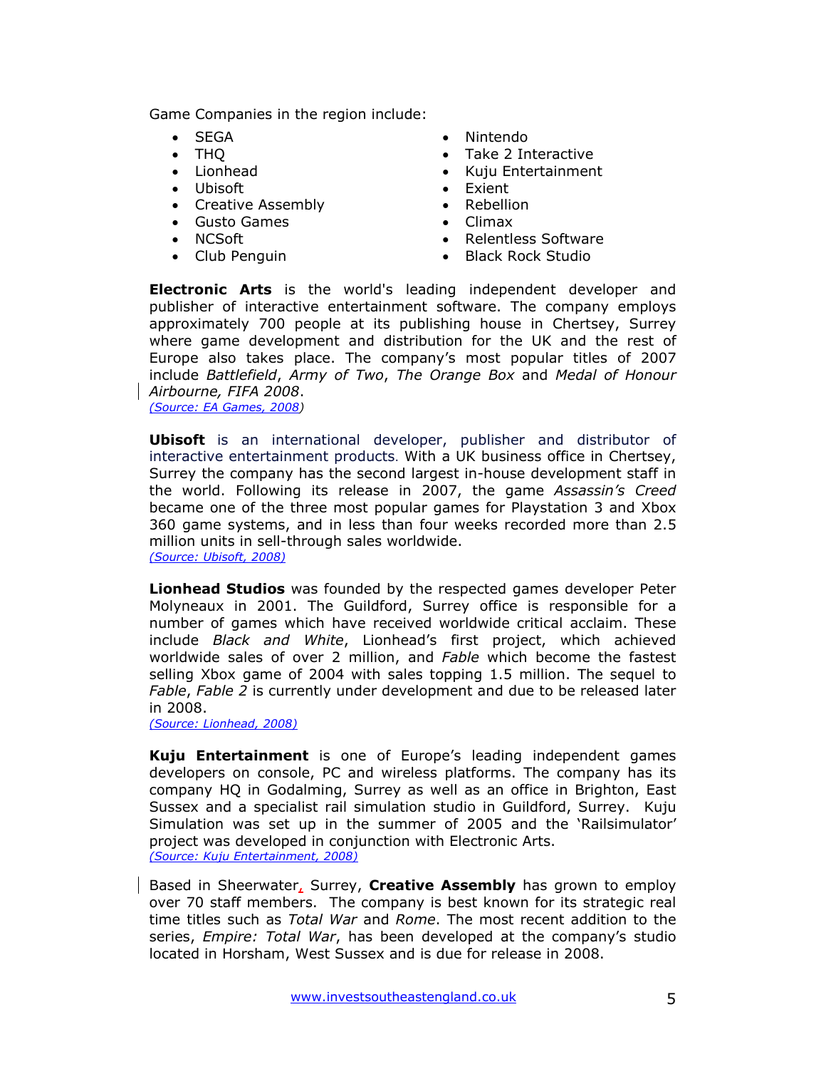Game Companies in the region include:

- 
- 
- 
- Ubisoft Exient
- Creative Assembly Rebellion
- Gusto Games Climax
- 
- 
- SEGA Nintendo
- THQ Take 2 Interactive
- Lionhead Kuju Entertainment
	-
	-
	-
- NCSoft Relentless Software
- Club Penguin Black Rock Studio

**Electronic Arts** is the world's leading independent developer and publisher of interactive entertainment software. The company employs approximately 700 people at its publishing house in Chertsey, Surrey where game development and distribution for the UK and the rest of Europe also takes place. The company's most popular titles of 2007 include *Battlefield*, *Army of Two*, *The Orange Box* and *Medal of Honour Airbourne, FIFA 2008*.

*(Source: EA Games, 2008)*

**Ubisoft** is an international developer, publisher and distributor of interactive entertainment products. With a UK business office in Chertsey, Surrey the company has the second largest in-house development staff in the world. Following its release in 2007, the game *Assassin's Creed*  became one of the three most popular games for Playstation 3 and Xbox 360 game systems, and in less than four weeks recorded more than 2.5 million units in sell-through sales worldwide. *(Source: Ubisoft, 2008)*

**Lionhead Studios** was founded by the respected games developer Peter Molyneaux in 2001. The Guildford, Surrey office is responsible for a number of games which have received worldwide critical acclaim. These include *Black and White*, Lionhead's first project, which achieved worldwide sales of over 2 million, and *Fable* which become the fastest selling Xbox game of 2004 with sales topping 1.5 million. The sequel to *Fable*, *Fable 2* is currently under development and due to be released later in 2008.

*(Source: Lionhead, 2008)*

**Kuju Entertainment** is one of Europe's leading independent games developers on console, PC and wireless platforms. The company has its company HQ in Godalming, Surrey as well as an office in Brighton, East Sussex and a specialist rail simulation studio in Guildford, Surrey. Kuju Simulation was set up in the summer of 2005 and the 'Railsimulator' project was developed in conjunction with Electronic Arts. *(Source: Kuju Entertainment, 2008)*

Based in Sheerwater, Surrey, **Creative Assembly** has grown to employ over 70 staff members. The company is best known for its strategic real time titles such as *Total War* and *Rome*. The most recent addition to the series, *Empire: Total War*, has been developed at the company's studio located in Horsham, West Sussex and is due for release in 2008.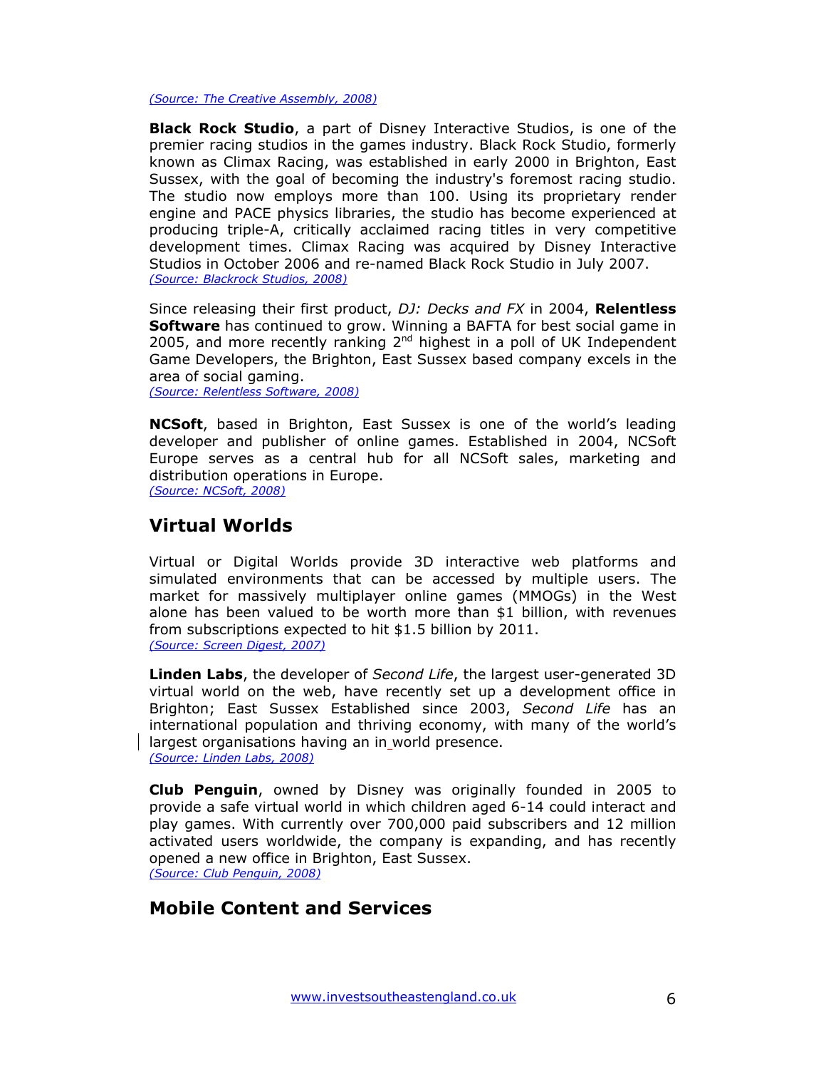*(Source: The Creative Assembly, 2008)*

**Black Rock Studio**, a part of Disney Interactive Studios, is one of the premier racing studios in the games industry. Black Rock Studio, formerly known as Climax Racing, was established in early 2000 in Brighton, East Sussex, with the goal of becoming the industry's foremost racing studio. The studio now employs more than 100. Using its proprietary render engine and PACE physics libraries, the studio has become experienced at producing triple-A, critically acclaimed racing titles in very competitive development times. Climax Racing was acquired by Disney Interactive Studios in October 2006 and re-named Black Rock Studio in July 2007. *(Source: Blackrock Studios, 2008)*

Since releasing their first product, *DJ: Decks and FX* in 2004, **Relentless Software** has continued to grow. Winning a BAFTA for best social game in 2005, and more recently ranking  $2<sup>nd</sup>$  highest in a poll of UK Independent Game Developers, the Brighton, East Sussex based company excels in the area of social gaming.

*(Source: Relentless Software, 2008)*

**NCSoft**, based in Brighton, East Sussex is one of the world's leading developer and publisher of online games. Established in 2004, NCSoft Europe serves as a central hub for all NCSoft sales, marketing and distribution operations in Europe. *(Source: NCSoft, 2008)*

### **Virtual Worlds**

Virtual or Digital Worlds provide 3D interactive web platforms and simulated environments that can be accessed by multiple users. The market for massively multiplayer online games (MMOGs) in the West alone has been valued to be worth more than \$1 billion, with revenues from subscriptions expected to hit \$1.5 billion by 2011. *(Source: Screen Digest, 2007)*

**Linden Labs**, the developer of *Second Life*, the largest user-generated 3D virtual world on the web, have recently set up a development office in Brighton; East Sussex Established since 2003, *Second Life* has an international population and thriving economy, with many of the world's largest organisations having an in world presence. *(Source: Linden Labs, 2008)*

**Club Penguin**, owned by Disney was originally founded in 2005 to provide a safe virtual world in which children aged 6-14 could interact and play games. With currently over 700,000 paid subscribers and 12 million activated users worldwide, the company is expanding, and has recently opened a new office in Brighton, East Sussex. *(Source: Club Penguin, 2008)*

### **Mobile Content and Services**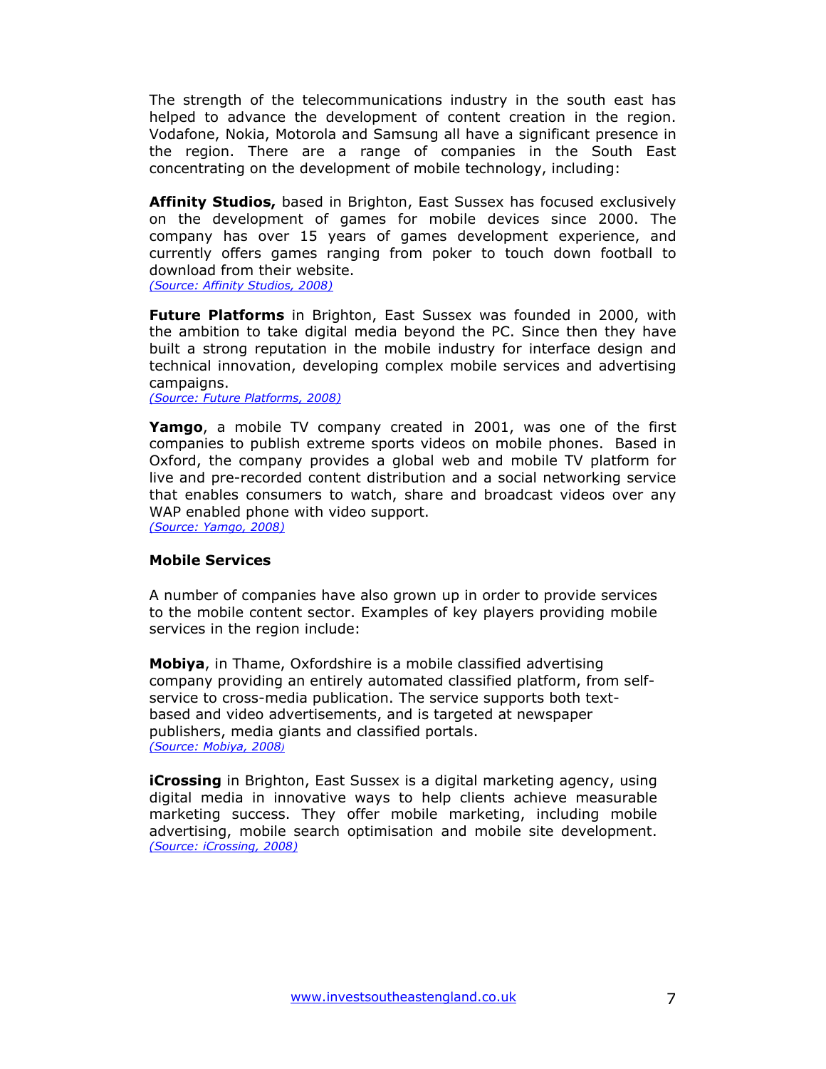The strength of the telecommunications industry in the south east has helped to advance the development of content creation in the region. Vodafone, Nokia, Motorola and Samsung all have a significant presence in the region. There are a range of companies in the South East concentrating on the development of mobile technology, including:

**Affinity Studios,** based in Brighton, East Sussex has focused exclusively on the development of games for mobile devices since 2000. The company has over 15 years of games development experience, and currently offers games ranging from poker to touch down football to download from their website.

*(Source: Affinity Studios, 2008)*

**Future Platforms** in Brighton, East Sussex was founded in 2000, with the ambition to take digital media beyond the PC. Since then they have built a strong reputation in the mobile industry for interface design and technical innovation, developing complex mobile services and advertising campaigns.

*(Source: Future Platforms, 2008)* 

**Yamgo**, a mobile TV company created in 2001, was one of the first companies to publish extreme sports videos on mobile phones. Based in Oxford, the company provides a global web and mobile TV platform for live and pre-recorded content distribution and a social networking service that enables consumers to watch, share and broadcast videos over any WAP enabled phone with video support.

*(Source: Yamgo, 2008)*

#### **Mobile Services**

A number of companies have also grown up in order to provide services to the mobile content sector. Examples of key players providing mobile services in the region include:

**Mobiya**, in Thame, Oxfordshire is a mobile classified advertising company providing an entirely automated classified platform, from selfservice to cross-media publication. The service supports both textbased and video advertisements, and is targeted at newspaper publishers, media giants and classified portals. *(Source: Mobiya, 2008)*

**iCrossing** in Brighton, East Sussex is a digital marketing agency, using digital media in innovative ways to help clients achieve measurable marketing success. They offer mobile marketing, including mobile advertising, mobile search optimisation and mobile site development. *(Source: iCrossing, 2008)*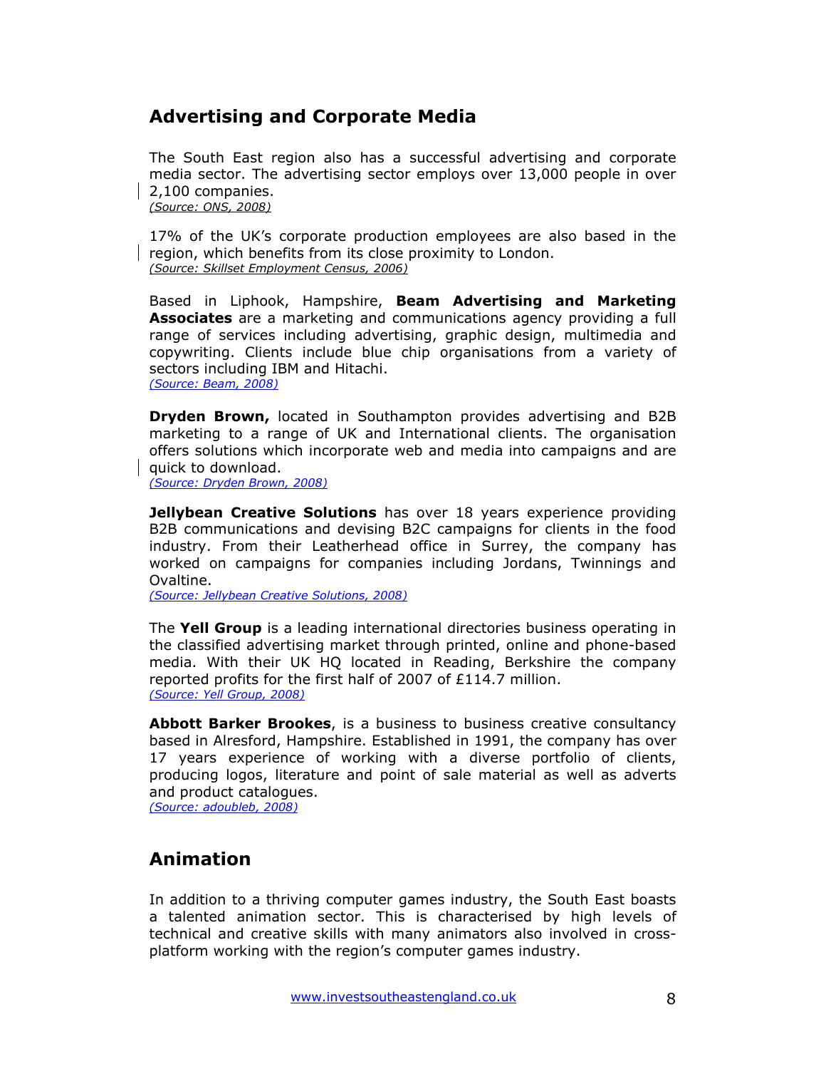# **Advertising and Corporate Media**

The South East region also has a successful advertising and corporate media sector. The advertising sector employs over 13,000 people in over 2,100 companies. *(Source: ONS, 2008)* 

17% of the UK's corporate production employees are also based in the region, which benefits from its close proximity to London. *(Source: Skillset Employment Census, 2006)*

Based in Liphook, Hampshire, **Beam Advertising and Marketing Associates** are a marketing and communications agency providing a full range of services including advertising, graphic design, multimedia and copywriting. Clients include blue chip organisations from a variety of sectors including IBM and Hitachi. *(Source: Beam, 2008)*

**Dryden Brown,** located in Southampton provides advertising and B2B marketing to a range of UK and International clients. The organisation offers solutions which incorporate web and media into campaigns and are quick to download.

*(Source: Dryden Brown, 2008)* 

**Jellybean Creative Solutions** has over 18 years experience providing B2B communications and devising B2C campaigns for clients in the food industry. From their Leatherhead office in Surrey, the company has worked on campaigns for companies including Jordans, Twinnings and Ovaltine.

*(Source: Jellybean Creative Solutions, 2008)*

The **Yell Group** is a leading international directories business operating in the classified advertising market through printed, online and phone-based media. With their UK HQ located in Reading, Berkshire the company reported profits for the first half of 2007 of £114.7 million. *(Source: Yell Group, 2008)*

**Abbott Barker Brookes**, is a business to business creative consultancy based in Alresford, Hampshire. Established in 1991, the company has over 17 years experience of working with a diverse portfolio of clients, producing logos, literature and point of sale material as well as adverts and product catalogues.

*(Source: adoubleb, 2008)*

# **Animation**

In addition to a thriving computer games industry, the South East boasts a talented animation sector. This is characterised by high levels of technical and creative skills with many animators also involved in crossplatform working with the region's computer games industry.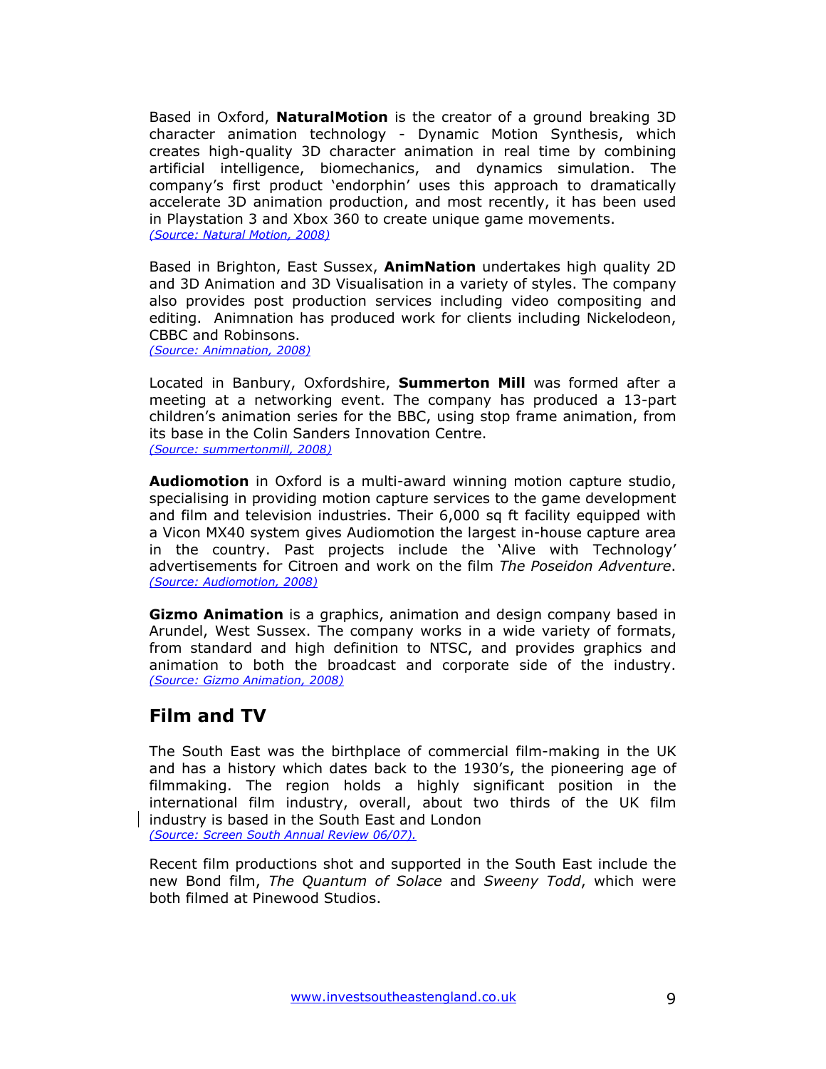Based in Oxford, **NaturalMotion** is the creator of a ground breaking 3D character animation technology - Dynamic Motion Synthesis, which creates high-quality 3D character animation in real time by combining artificial intelligence, biomechanics, and dynamics simulation. The company's first product 'endorphin' uses this approach to dramatically accelerate 3D animation production, and most recently, it has been used in Playstation 3 and Xbox 360 to create unique game movements. *(Source: Natural Motion, 2008)*

Based in Brighton, East Sussex, **AnimNation** undertakes high quality 2D and 3D Animation and 3D Visualisation in a variety of styles. The company also provides post production services including video compositing and editing. Animnation has produced work for clients including Nickelodeon, CBBC and Robinsons.

*(Source: Animnation, 2008)* 

Located in Banbury, Oxfordshire, **Summerton Mill** was formed after a meeting at a networking event. The company has produced a 13-part children's animation series for the BBC, using stop frame animation, from its base in the Colin Sanders Innovation Centre. *(Source: summertonmill, 2008)*

**Audiomotion** in Oxford is a multi-award winning motion capture studio, specialising in providing motion capture services to the game development and film and television industries. Their 6,000 sq ft facility equipped with a Vicon MX40 system gives Audiomotion the largest in-house capture area in the country. Past projects include the 'Alive with Technology' advertisements for Citroen and work on the film *The Poseidon Adventure*. *(Source: Audiomotion, 2008)*

**Gizmo Animation** is a graphics, animation and design company based in Arundel, West Sussex. The company works in a wide variety of formats, from standard and high definition to NTSC, and provides graphics and animation to both the broadcast and corporate side of the industry. *(Source: Gizmo Animation, 2008)*

### **Film and TV**

The South East was the birthplace of commercial film-making in the UK and has a history which dates back to the 1930's, the pioneering age of filmmaking. The region holds a highly significant position in the international film industry, overall, about two thirds of the UK film industry is based in the South East and London *(Source: Screen South Annual Review 06/07).* 

Recent film productions shot and supported in the South East include the new Bond film, *The Quantum of Solace* and *Sweeny Todd*, which were both filmed at Pinewood Studios.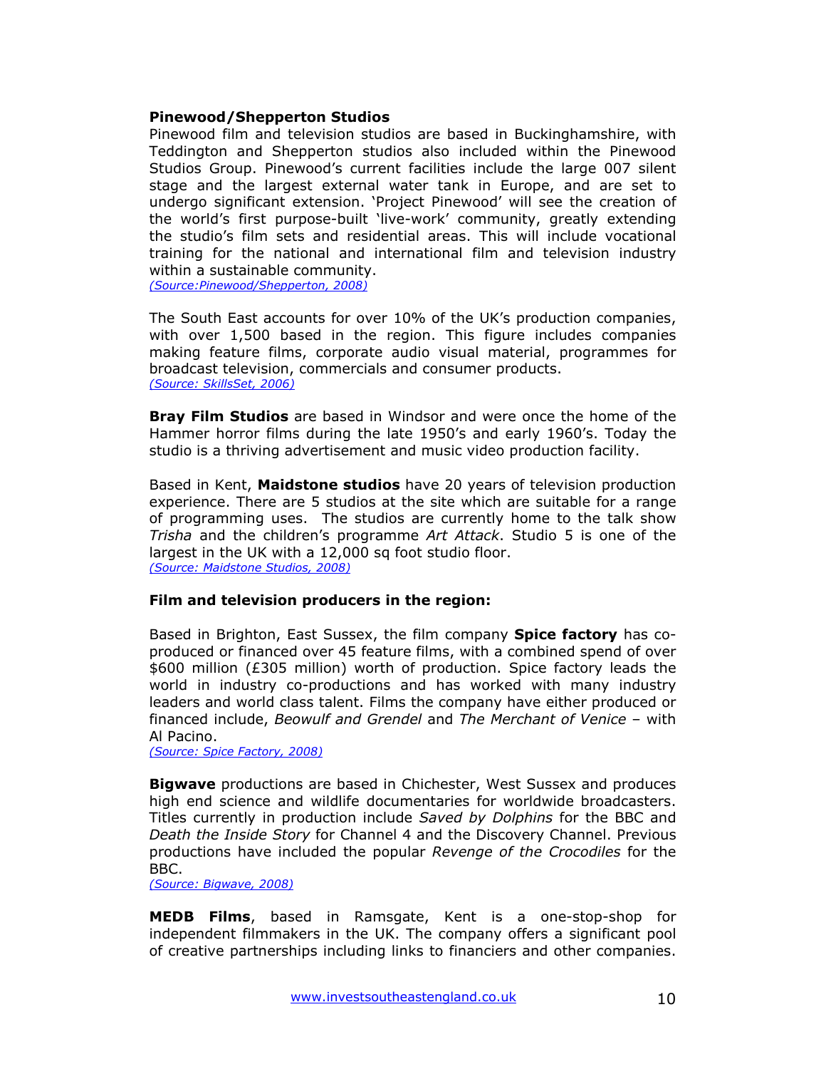#### **Pinewood/Shepperton Studios**

Pinewood film and television studios are based in Buckinghamshire, with Teddington and Shepperton studios also included within the Pinewood Studios Group. Pinewood's current facilities include the large 007 silent stage and the largest external water tank in Europe, and are set to undergo significant extension. 'Project Pinewood' will see the creation of the world's first purpose-built 'live-work' community, greatly extending the studio's film sets and residential areas. This will include vocational training for the national and international film and television industry within a sustainable community. *(Source:Pinewood/Shepperton, 2008)* 

The South East accounts for over 10% of the UK's production companies, with over 1,500 based in the region. This figure includes companies making feature films, corporate audio visual material, programmes for broadcast television, commercials and consumer products. *(Source: SkillsSet, 2006)* 

**Bray Film Studios** are based in Windsor and were once the home of the Hammer horror films during the late 1950's and early 1960's. Today the studio is a thriving advertisement and music video production facility.

Based in Kent, **Maidstone studios** have 20 years of television production experience. There are 5 studios at the site which are suitable for a range of programming uses. The studios are currently home to the talk show *Trisha* and the children's programme *Art Attack*. Studio 5 is one of the largest in the UK with a 12,000 sq foot studio floor. *(Source: Maidstone Studios, 2008)*

**Film and television producers in the region:** 

Based in Brighton, East Sussex, the film company **Spice factory** has coproduced or financed over 45 feature films, with a combined spend of over \$600 million (£305 million) worth of production. Spice factory leads the world in industry co-productions and has worked with many industry leaders and world class talent. Films the company have either produced or financed include, *Beowulf and Grendel* and *The Merchant of Venice* – with Al Pacino.

*(Source: Spice Factory, 2008)*

**Bigwave** productions are based in Chichester, West Sussex and produces high end science and wildlife documentaries for worldwide broadcasters. Titles currently in production include *Saved by Dolphins* for the BBC and *Death the Inside Story* for Channel 4 and the Discovery Channel. Previous productions have included the popular *Revenge of the Crocodiles* for the BBC.

*(Source: Bigwave, 2008)*

**MEDB Films**, based in Ramsgate, Kent is a one-stop-shop for independent filmmakers in the UK. The company offers a significant pool of creative partnerships including links to financiers and other companies.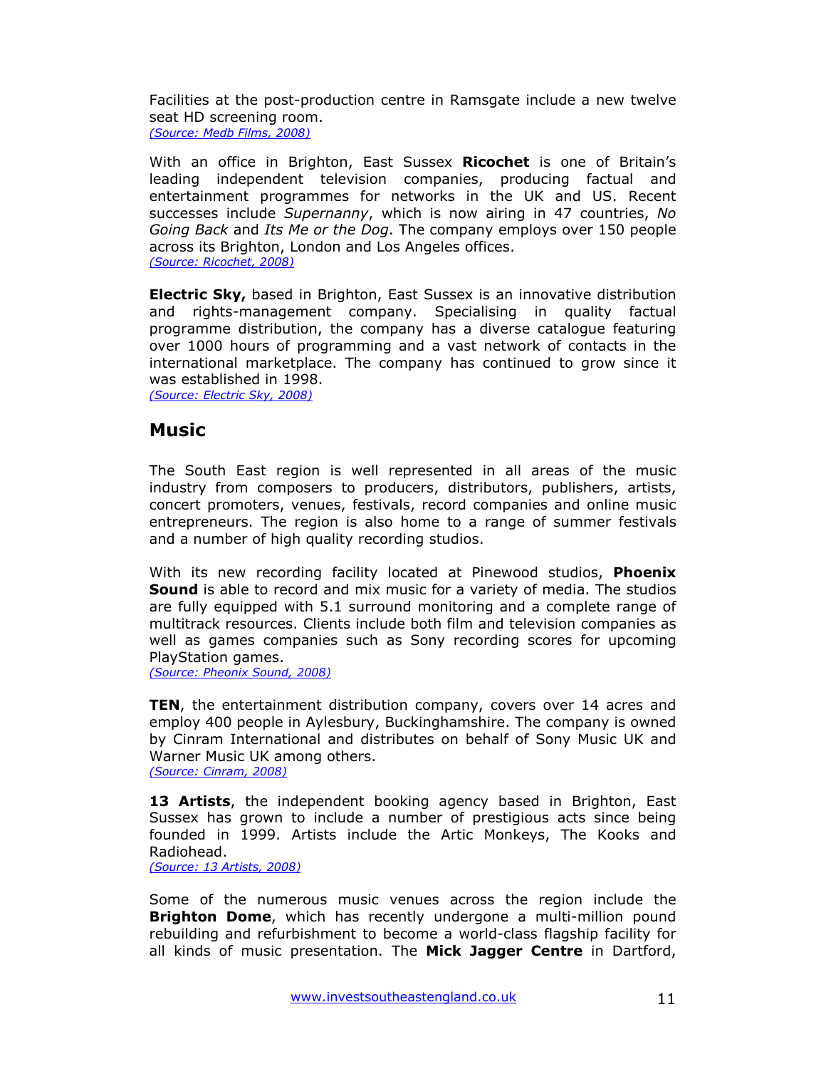Facilities at the post-production centre in Ramsgate include a new twelve seat HD screening room. *(Source: Medb Films, 2008)*

With an office in Brighton, East Sussex **Ricochet** is one of Britain's leading independent television companies, producing factual and entertainment programmes for networks in the UK and US. Recent successes include *Supernanny*, which is now airing in 47 countries, *No Going Back* and *Its Me or the Dog*. The company employs over 150 people across its Brighton, London and Los Angeles offices. *(Source: Ricochet, 2008)*

**Electric Sky,** based in Brighton, East Sussex is an innovative distribution and rights-management company. Specialising in quality factual programme distribution, the company has a diverse catalogue featuring over 1000 hours of programming and a vast network of contacts in the international marketplace. The company has continued to grow since it was established in 1998.

*(Source: Electric Sky, 2008)*

#### **Music**

The South East region is well represented in all areas of the music industry from composers to producers, distributors, publishers, artists, concert promoters, venues, festivals, record companies and online music entrepreneurs. The region is also home to a range of summer festivals and a number of high quality recording studios.

With its new recording facility located at Pinewood studios, **Phoenix Sound** is able to record and mix music for a variety of media. The studios are fully equipped with 5.1 surround monitoring and a complete range of multitrack resources. Clients include both film and television companies as well as games companies such as Sony recording scores for upcoming PlayStation games.

*(Source: Pheonix Sound, 2008)*

**TEN**, the entertainment distribution company, covers over 14 acres and employ 400 people in Aylesbury, Buckinghamshire. The company is owned by Cinram International and distributes on behalf of Sony Music UK and Warner Music UK among others. *(Source: Cinram, 2008)*

**13 Artists**, the independent booking agency based in Brighton, East Sussex has grown to include a number of prestigious acts since being founded in 1999. Artists include the Artic Monkeys, The Kooks and Radiohead.

*(Source: 13 Artists, 2008)*

Some of the numerous music venues across the region include the **Brighton Dome**, which has recently undergone a multi-million pound rebuilding and refurbishment to become a world-class flagship facility for all kinds of music presentation. The **Mick Jagger Centre** in Dartford,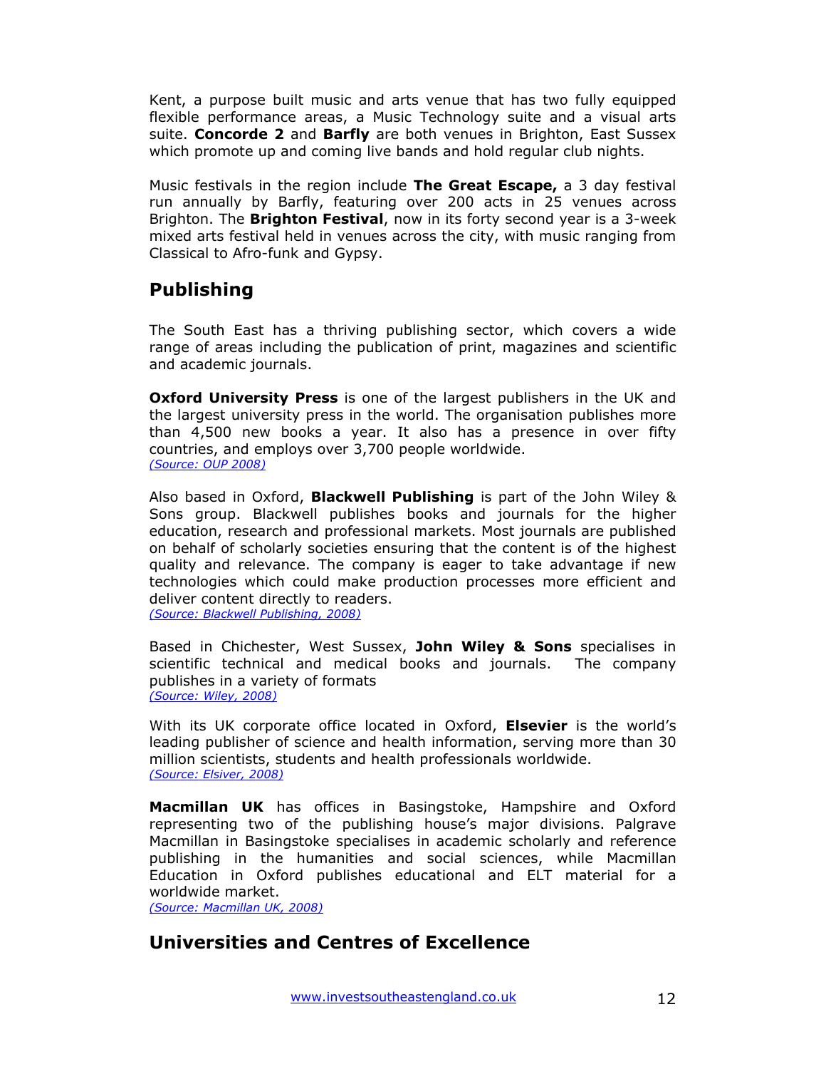Kent, a purpose built music and arts venue that has two fully equipped flexible performance areas, a Music Technology suite and a visual arts suite. **Concorde 2** and **Barfly** are both venues in Brighton, East Sussex which promote up and coming live bands and hold regular club nights.

Music festivals in the region include **The Great Escape,** a 3 day festival run annually by Barfly, featuring over 200 acts in 25 venues across Brighton. The **Brighton Festival**, now in its forty second year is a 3-week mixed arts festival held in venues across the city, with music ranging from Classical to Afro-funk and Gypsy.

# **Publishing**

The South East has a thriving publishing sector, which covers a wide range of areas including the publication of print, magazines and scientific and academic journals.

**Oxford University Press** is one of the largest publishers in the UK and the largest university press in the world. The organisation publishes more than 4,500 new books a year. It also has a presence in over fifty countries, and employs over 3,700 people worldwide. *(Source: OUP 2008)*

Also based in Oxford, **Blackwell Publishing** is part of the John Wiley & Sons group. Blackwell publishes books and journals for the higher education, research and professional markets. Most journals are published on behalf of scholarly societies ensuring that the content is of the highest quality and relevance. The company is eager to take advantage if new technologies which could make production processes more efficient and deliver content directly to readers.

*(Source: Blackwell Publishing, 2008)*

Based in Chichester, West Sussex, **John Wiley & Sons** specialises in scientific technical and medical books and journals. The company publishes in a variety of formats *(Source: Wiley, 2008)*

With its UK corporate office located in Oxford, **Elsevier** is the world's leading publisher of science and health information, serving more than 30 million scientists, students and health professionals worldwide. *(Source: Elsiver, 2008)*

**Macmillan UK** has offices in Basingstoke, Hampshire and Oxford representing two of the publishing house's major divisions. Palgrave Macmillan in Basingstoke specialises in academic scholarly and reference publishing in the humanities and social sciences, while Macmillan Education in Oxford publishes educational and ELT material for a worldwide market.

*(Source: Macmillan UK, 2008)*

# **Universities and Centres of Excellence**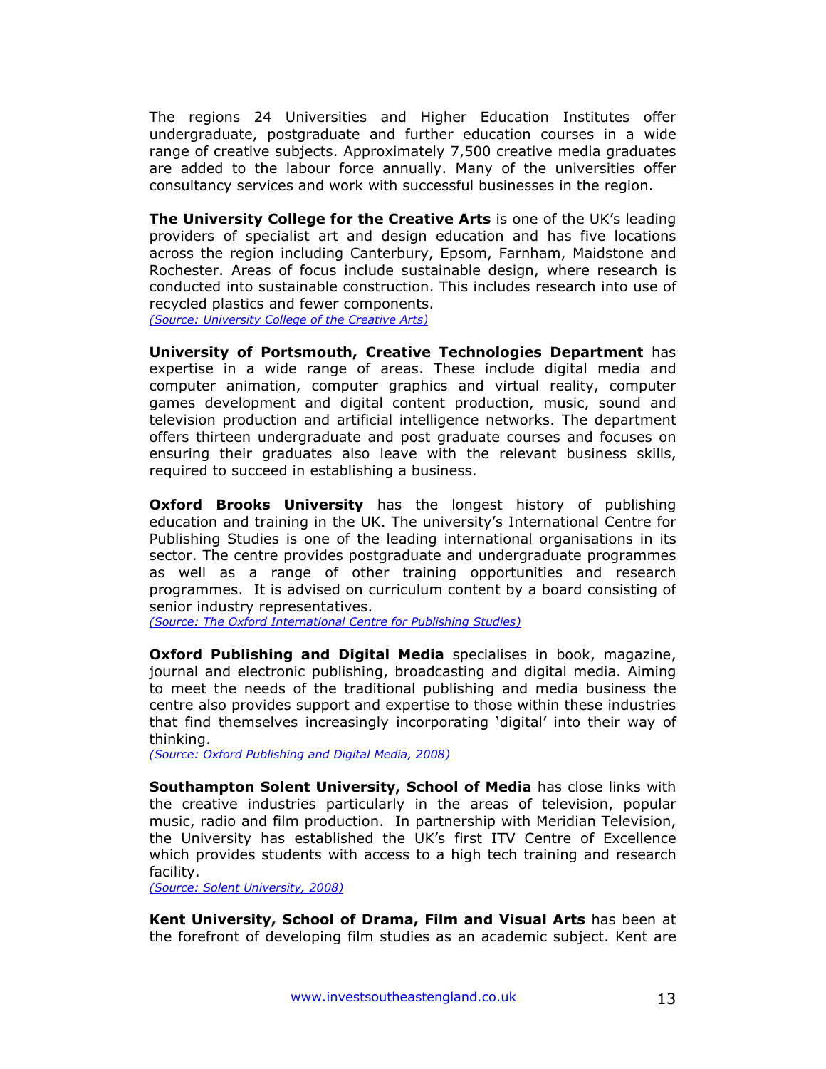The regions 24 Universities and Higher Education Institutes offer undergraduate, postgraduate and further education courses in a wide range of creative subjects. Approximately 7,500 creative media graduates are added to the labour force annually. Many of the universities offer consultancy services and work with successful businesses in the region.

**The University College for the Creative Arts** is one of the UK's leading providers of specialist art and design education and has five locations across the region including Canterbury, Epsom, Farnham, Maidstone and Rochester. Areas of focus include sustainable design, where research is conducted into sustainable construction. This includes research into use of recycled plastics and fewer components. *(Source: University College of the Creative Arts)*

**University of Portsmouth, Creative Technologies Department** has expertise in a wide range of areas. These include digital media and computer animation, computer graphics and virtual reality, computer games development and digital content production, music, sound and television production and artificial intelligence networks. The department offers thirteen undergraduate and post graduate courses and focuses on ensuring their graduates also leave with the relevant business skills, required to succeed in establishing a business.

**Oxford Brooks University** has the longest history of publishing education and training in the UK. The university's International Centre for Publishing Studies is one of the leading international organisations in its sector. The centre provides postgraduate and undergraduate programmes as well as a range of other training opportunities and research programmes. It is advised on curriculum content by a board consisting of senior industry representatives.

*(Source: The Oxford International Centre for Publishing Studies)*

**Oxford Publishing and Digital Media** specialises in book, magazine, journal and electronic publishing, broadcasting and digital media. Aiming to meet the needs of the traditional publishing and media business the centre also provides support and expertise to those within these industries that find themselves increasingly incorporating 'digital' into their way of thinking.

*(Source: Oxford Publishing and Digital Media, 2008)*

**Southampton Solent University, School of Media** has close links with the creative industries particularly in the areas of television, popular music, radio and film production. In partnership with Meridian Television, the University has established the UK's first ITV Centre of Excellence which provides students with access to a high tech training and research facility.

*(Source: Solent University, 2008)*

**Kent University, School of Drama, Film and Visual Arts** has been at the forefront of developing film studies as an academic subject. Kent are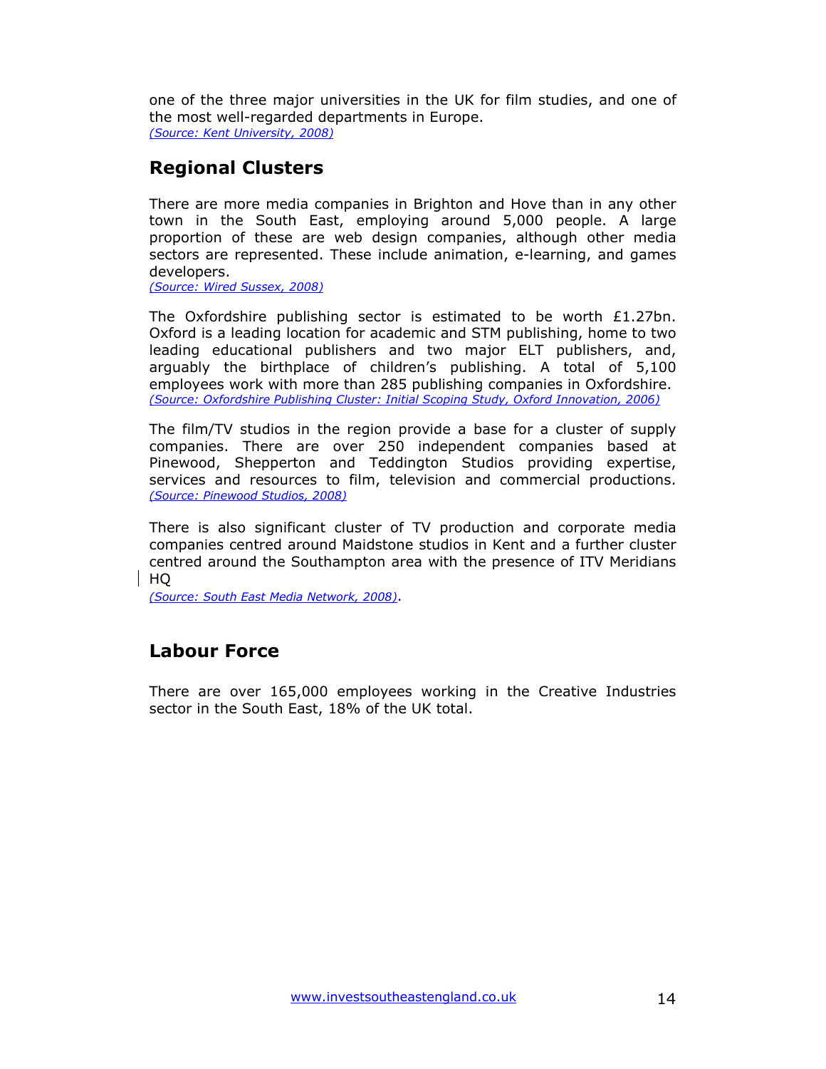one of the three major universities in the UK for film studies, and one of the most well-regarded departments in Europe. *(Source: Kent University, 2008)*

### **Regional Clusters**

There are more media companies in Brighton and Hove than in any other town in the South East, employing around 5,000 people. A large proportion of these are web design companies, although other media sectors are represented. These include animation, e-learning, and games developers.

*(Source: Wired Sussex, 2008)* 

The Oxfordshire publishing sector is estimated to be worth £1.27bn. Oxford is a leading location for academic and STM publishing, home to two leading educational publishers and two major ELT publishers, and, arguably the birthplace of children's publishing. A total of 5,100 employees work with more than 285 publishing companies in Oxfordshire. *(Source: Oxfordshire Publishing Cluster: Initial Scoping Study, Oxford Innovation, 2006)*

The film/TV studios in the region provide a base for a cluster of supply companies. There are over 250 independent companies based at Pinewood, Shepperton and Teddington Studios providing expertise, services and resources to film, television and commercial productions. *(Source: Pinewood Studios, 2008)*

There is also significant cluster of TV production and corporate media companies centred around Maidstone studios in Kent and a further cluster centred around the Southampton area with the presence of ITV Meridians HQ

*(Source: South East Media Network, 2008)*.

### **Labour Force**

There are over 165,000 employees working in the Creative Industries sector in the South East, 18% of the UK total.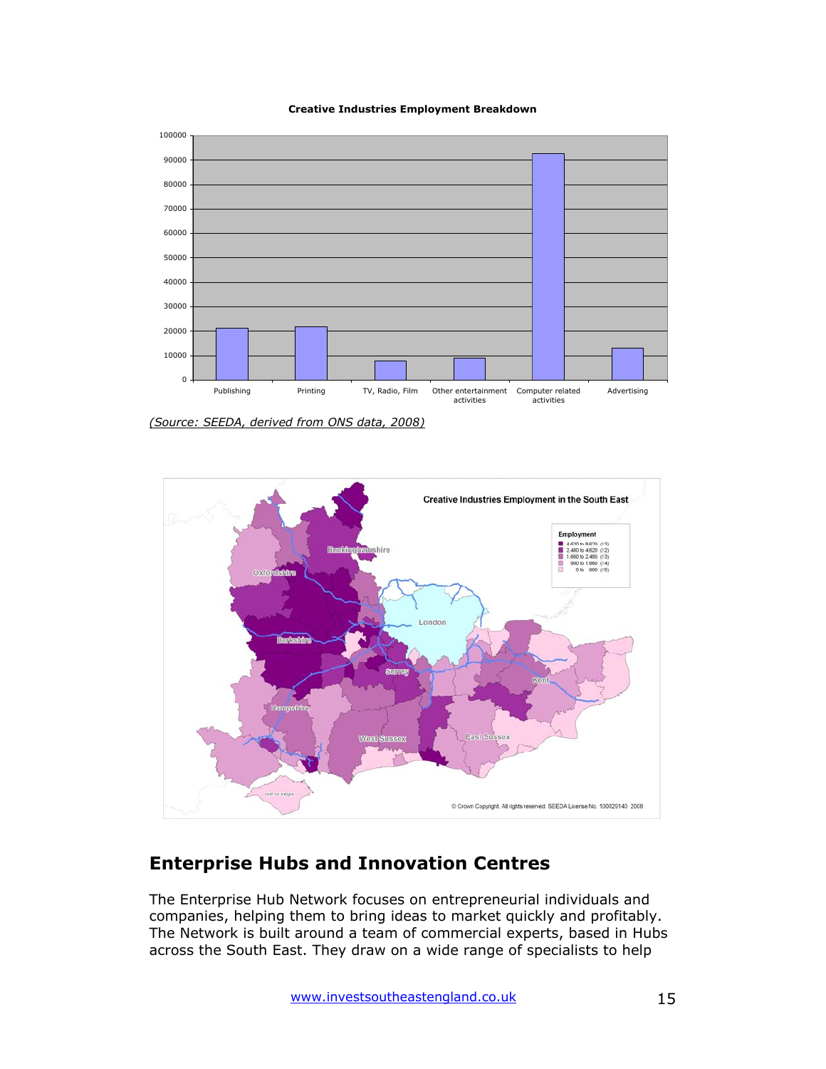**Creative Industries Employment Breakdown**



*(Source: SEEDA, derived from ONS data, 2008)*



# **Enterprise Hubs and Innovation Centres**

The Enterprise Hub Network focuses on entrepreneurial individuals and companies, helping them to bring ideas to market quickly and profitably. The Network is built around a team of commercial experts, based in Hubs across the South East. They draw on a wide range of specialists to help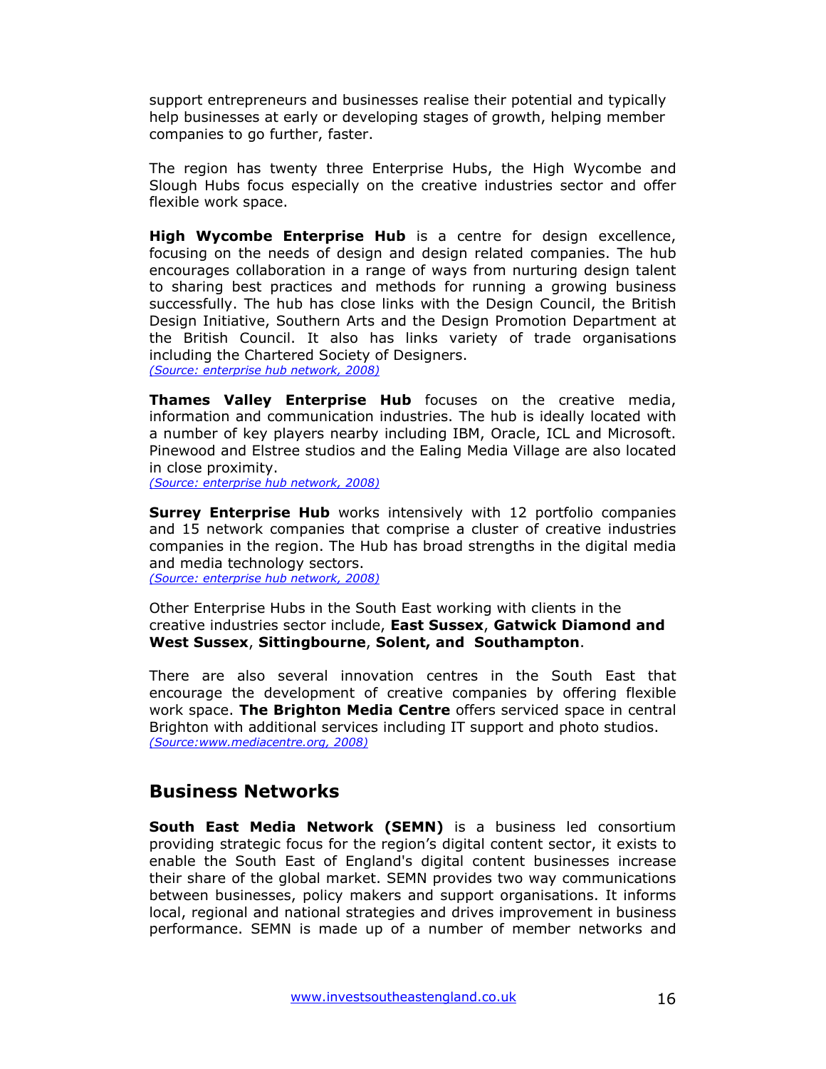support entrepreneurs and businesses realise their potential and typically help businesses at early or developing stages of growth, helping member companies to go further, faster.

The region has twenty three Enterprise Hubs, the High Wycombe and Slough Hubs focus especially on the creative industries sector and offer flexible work space.

**High Wycombe Enterprise Hub** is a centre for design excellence, focusing on the needs of design and design related companies. The hub encourages collaboration in a range of ways from nurturing design talent to sharing best practices and methods for running a growing business successfully. The hub has close links with the Design Council, the British Design Initiative, Southern Arts and the Design Promotion Department at the British Council. It also has links variety of trade organisations including the Chartered Society of Designers. *(Source: enterprise hub network, 2008)*

**Thames Valley Enterprise Hub** focuses on the creative media, information and communication industries. The hub is ideally located with a number of key players nearby including IBM, Oracle, ICL and Microsoft. Pinewood and Elstree studios and the Ealing Media Village are also located in close proximity.

*(Source: enterprise hub network, 2008)*

**Surrey Enterprise Hub** works intensively with 12 portfolio companies and 15 network companies that comprise a cluster of creative industries companies in the region. The Hub has broad strengths in the digital media and media technology sectors. *(Source: enterprise hub network, 2008)*

Other Enterprise Hubs in the South East working with clients in the creative industries sector include, **East Sussex**, **Gatwick Diamond and West Sussex**, **Sittingbourne**, **Solent, and Southampton**.

There are also several innovation centres in the South East that encourage the development of creative companies by offering flexible work space. **The Brighton Media Centre** offers serviced space in central Brighton with additional services including IT support and photo studios. *(Source:www.mediacentre.org, 2008)*

#### **Business Networks**

**South East Media Network (SEMN)** is a business led consortium providing strategic focus for the region's digital content sector, it exists to enable the South East of England's digital content businesses increase their share of the global market. SEMN provides two way communications between businesses, policy makers and support organisations. It informs local, regional and national strategies and drives improvement in business performance. SEMN is made up of a number of member networks and